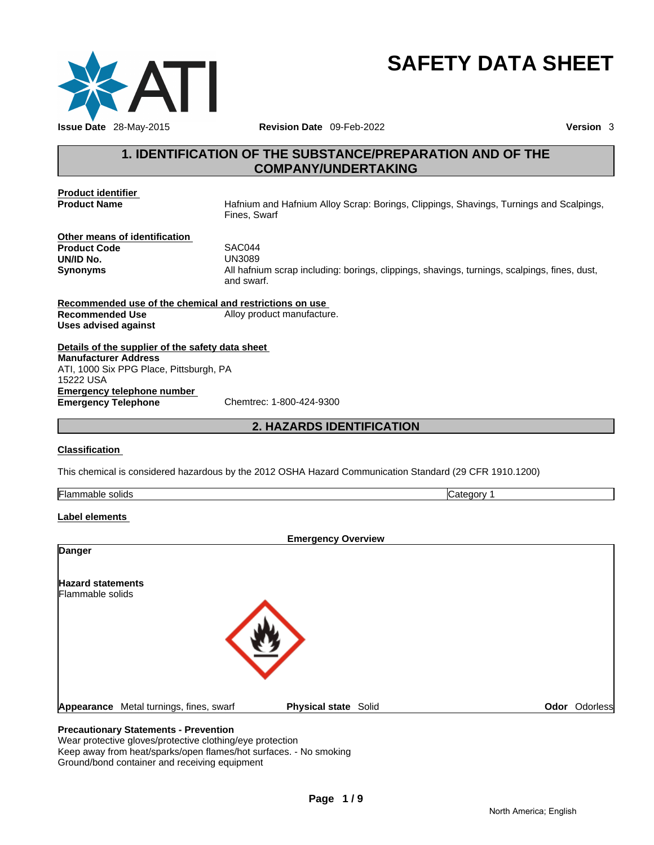

# **SAFETY DATA SHEET**

# **1. IDENTIFICATION OF THE SUBSTANCE/PREPARATION AND OF THE**<br> **1. IDENTIFICATION OF THE SUBSTANCE/PREPARATION AND OF THE**<br> **1. IDENTIFICATION OF THE SUBSTANCE/PREPARATION AND OF THE**<br> **1. IDENTIFICATION OF THE SUBSTANCE/PRE COMPANY/UNDERTAKING**

**Product identifier** 

**Product Name** Hafnium and Hafnium Alloy Scrap: Borings, Clippings, Shavings, Turnings and Scalpings, Fines, Swarf

**Other means of identification**  Product Code SAC044 **UN/ID No.** UN3089

**Synonyms** All hafnium scrap including: borings, clippings, shavings, turnings, scalpings, fines, dust, and swarf. 14<br>29<br>mium scrap including: borings, clippings, shavings, turnings, scalpings, fines, c<br>*xart.*<br>trictions on use<br>roduct manufacture.<br>eet<br>**2012 OSHA Hazard Communication Standard (29 CFR 1910.1200)** 

**Recommended use of the chemical and restrictions on use Recommended Use** Alloy product manufacture. **Uses advised against** 

**Details of the supplier of the safety data sheet Emergency telephone number Emergency Telephone** Chemtrec: 1-800-424-9300 **Manufacturer Address** ATI, 1000 Six PPG Place, Pittsburgh, PA 15222 USA

### **Classification**

This chemical is considered hazardous by the 2012 OSHA Hazard Communication Standard (29 CFR 1910.1200)

| . .<br>. .<br>solids<br>- 10<br>ıa<br>$\sim$<br>,,,, |
|------------------------------------------------------|
|------------------------------------------------------|

### **Label elements**

|                                         | <b>Emergency Overview</b>   |               |
|-----------------------------------------|-----------------------------|---------------|
| <b>Danger</b>                           |                             |               |
| <b>Hazard statements</b>                |                             |               |
| Flammable solids                        |                             |               |
|                                         |                             |               |
|                                         |                             |               |
|                                         |                             |               |
|                                         |                             |               |
| Appearance Metal turnings, fines, swarf | <b>Physical state Solid</b> | Odor Odorless |

### **Precautionary Statements - Prevention**

Wear protective gloves/protective clothing/eye protection Keep away from heat/sparks/open flames/hot surfaces. - No smoking Ground/bond container and receiving equipment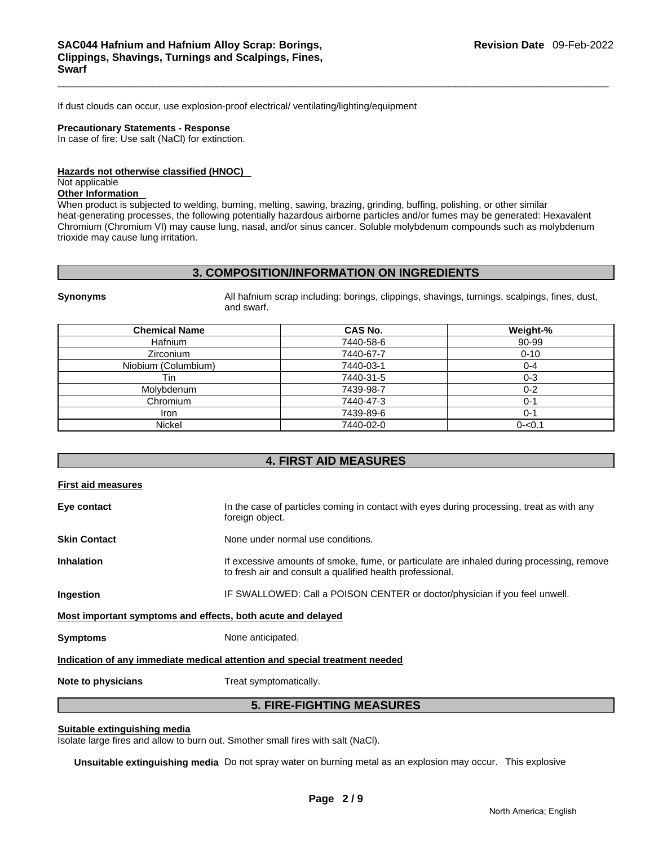If dust clouds can occur, use explosion-proof electrical/ ventilating/lighting/equipment

### **Precautionary Statements - Response**

In case of fire: Use salt (NaCl) for extinction.

### **Hazards not otherwise classified (HNOC)**

### Not applicable

### **Other Information**

When product is subjected to welding, burning, melting, sawing, brazing, grinding, buffing, polishing, or other similar heat-generating processes, the following potentially hazardous airborne particles and/or fumes may be generated: Hexavalent Chromium (Chromium VI) may cause lung, nasal, and/or sinus cancer. Soluble molybdenum compounds such as molybdenum trioxide may cause lung irritation.

### **3. COMPOSITION/INFORMATION ON INGREDIENTS**

**Synonyms All hafnium scrap including: borings, clippings, shavings, turnings, scalpings, fines, dust, and the state of the state of the state of the state of the state of the state of the state of the state of the state** and swarf.

| <b>Chemical Name</b> | CAS No.   | Weight-%  |
|----------------------|-----------|-----------|
| <b>Hafnium</b>       | 7440-58-6 | 90-99     |
| <b>Zirconium</b>     | 7440-67-7 | $0 - 10$  |
| Niobium (Columbium)  | 7440-03-1 | 0-4       |
| Tin                  | 7440-31-5 | 0-3       |
| Molybdenum           | 7439-98-7 | $0 - 2$   |
| Chromium             | 7440-47-3 | 0-1       |
| Iron                 | 7439-89-6 | $0 - 1$   |
| <b>Nickel</b>        | 7440-02-0 | $0 - 0.1$ |

### **4. FIRST AID MEASURES**

| <b>First aid measures</b> |                                                                                                                                                        |
|---------------------------|--------------------------------------------------------------------------------------------------------------------------------------------------------|
| Eye contact               | In the case of particles coming in contact with eyes during processing, treat as with any<br>foreign object.                                           |
| <b>Skin Contact</b>       | None under normal use conditions.                                                                                                                      |
| <b>Inhalation</b>         | If excessive amounts of smoke, fume, or particulate are inhaled during processing, remove<br>to fresh air and consult a qualified health professional. |
| Ingestion                 | IF SWALLOWED: Call a POISON CENTER or doctor/physician if you feel unwell.                                                                             |
|                           | Most important symptoms and effects, both acute and delayed                                                                                            |
| <b>Symptoms</b>           | None anticipated.                                                                                                                                      |
|                           | Indication of any immediate medical attention and special treatment needed                                                                             |
| Note to physicians        | Treat symptomatically.                                                                                                                                 |
|                           | <b>5. FIRE-FIGHTING MEASURES</b>                                                                                                                       |

### **Suitable extinguishing media**

Isolate large fires and allow to burn out. Smother small fires with salt (NaCl).

**Unsuitable extinguishing media** Do not spray water on burning metal as an explosion may occur. This explosive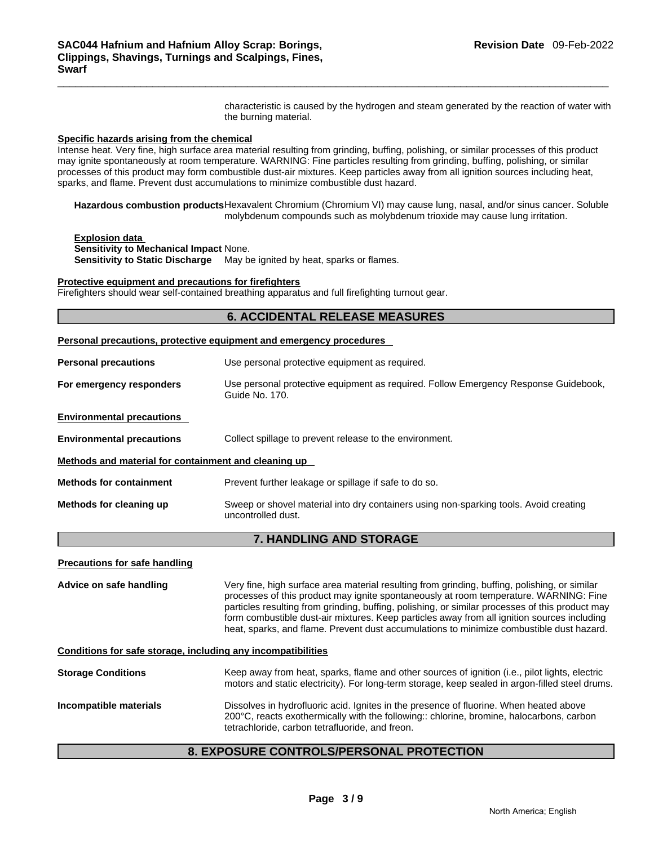characteristic is caused by the hydrogen and steam generated by the reaction of water with the burning material.

### **Specific hazards arising from the chemical**

Intense heat. Very fine, high surface area material resulting from grinding, buffing, polishing, or similar processes of this product may ignite spontaneously at room temperature. WARNING: Fine particles resulting from grinding, buffing, polishing, or similar processes of this product may form combustible dust-air mixtures. Keep particles away from all ignition sources including heat, sparks, and flame. Prevent dust accumulations to minimize combustible dust hazard.

**Hazardous combustion products** Hexavalent Chromium (Chromium VI) may cause lung, nasal, and/or sinus cancer. Soluble molybdenum compounds such as molybdenum trioxide may cause lung irritation.

**Explosion data** 

**Sensitivity to Mechanical Impact** None.

**Sensitivity to Static Discharge** May be ignited by heat, sparks or flames.

### **Protective equipment and precautions for firefighters**

Firefighters should wear self-contained breathing apparatus and full firefighting turnout gear.

### **6. ACCIDENTAL RELEASE MEASURES**

|  |  | Personal precautions, protective equipment and emergency procedures |  |  |
|--|--|---------------------------------------------------------------------|--|--|
|  |  |                                                                     |  |  |

| <b>Personal precautions</b>                          | Use personal protective equipment as required.                                                              |  |  |  |
|------------------------------------------------------|-------------------------------------------------------------------------------------------------------------|--|--|--|
| For emergency responders                             | Use personal protective equipment as required. Follow Emergency Response Guidebook,<br>Guide No. 170.       |  |  |  |
| <b>Environmental precautions</b>                     |                                                                                                             |  |  |  |
| <b>Environmental precautions</b>                     | Collect spillage to prevent release to the environment.                                                     |  |  |  |
| Methods and material for containment and cleaning up |                                                                                                             |  |  |  |
| <b>Methods for containment</b>                       | Prevent further leakage or spillage if safe to do so.                                                       |  |  |  |
| Methods for cleaning up                              | Sweep or shovel material into dry containers using non-sparking tools. Avoid creating<br>uncontrolled dust. |  |  |  |

### **7. HANDLING AND STORAGE**

### **Precautions for safe handling**

**Advice on safe handling** Very fine, high surface area material resulting from grinding, buffing, polishing, or similar processes of this product may ignite spontaneously at room temperature. WARNING: Fine particles resulting from grinding, buffing, polishing, or similar processes of this product may form combustible dust-air mixtures. Keep particles away from all ignition sources including heat, sparks, and flame. Prevent dust accumulations to minimize combustible dust hazard.

### **Conditions for safe storage, including any incompatibilities**

### **Storage Conditions** Keep away from heat, sparks, flame and other sources of ignition (i.e., pilot lights, electric motors and static electricity). For long-term storage, keep sealed in argon-filled steel drums. **Incompatible materials** Dissolves in hydrofluoric acid. Ignites in the presence of fluorine. When heated above 200°C, reacts exothermically with the following:: chlorine, bromine, halocarbons, carbon tetrachloride, carbon tetrafluoride, and freon.

# **Page 3 / 9 8. EXPOSURE CONTROLS/PERSONAL PROTECTION**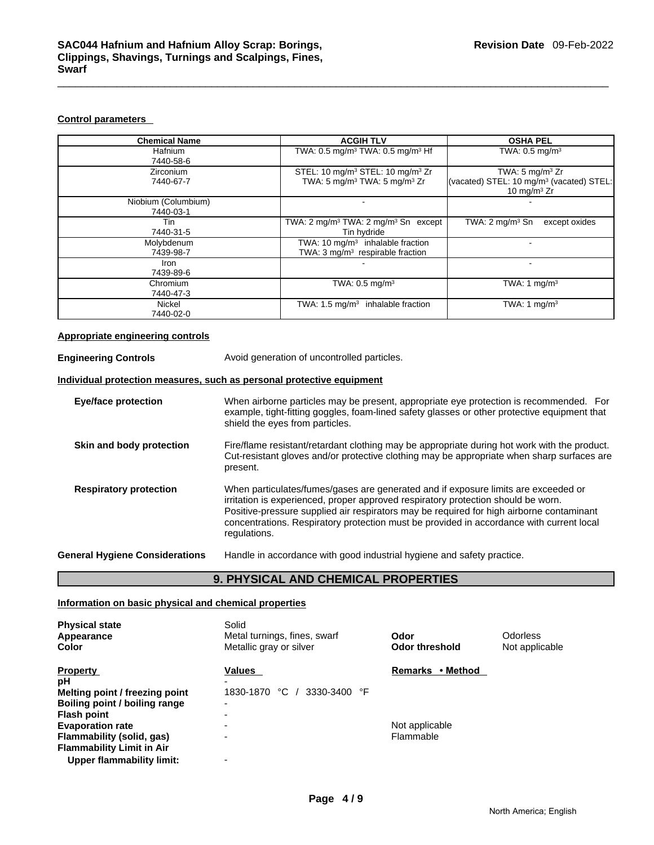### **Control parameters**

| <b>Chemical Name</b>             | <b>ACGIH TLV</b>                                                                                                 | <b>OSHA PEL</b>                                                                                       |
|----------------------------------|------------------------------------------------------------------------------------------------------------------|-------------------------------------------------------------------------------------------------------|
| Hafnium<br>7440-58-6             | TWA: 0.5 mg/m <sup>3</sup> TWA: 0.5 mg/m <sup>3</sup> Hf                                                         | TWA: $0.5 \text{ mg/m}^3$                                                                             |
| <b>Zirconium</b><br>7440-67-7    | STEL: 10 mg/m <sup>3</sup> STEL: 10 mg/m <sup>3</sup> Zr<br>TWA: 5 mg/m <sup>3</sup> TWA: 5 mg/m <sup>3</sup> Zr | TWA: 5 mg/m <sup>3</sup> Zr<br>(vacated) STEL: 10 mg/m <sup>3</sup> (vacated) STEL:<br>10 mg/m $3$ Zr |
| Niobium (Columbium)<br>7440-03-1 |                                                                                                                  |                                                                                                       |
| Tin<br>7440-31-5                 | TWA: $2 \text{ mg/m}^3$ TWA: $2 \text{ mg/m}^3$ Sn except<br>Tin hydride                                         | TWA: $2 \text{ mg/m}^3$ Sn<br>except oxides                                                           |
| Molybdenum<br>7439-98-7          | TWA: $10 \text{ mg/m}^3$ inhalable fraction<br>TWA: 3 mg/m <sup>3</sup> respirable fraction                      |                                                                                                       |
| Iron<br>7439-89-6                |                                                                                                                  |                                                                                                       |
| Chromium<br>7440-47-3            | TWA: 0.5 mg/m <sup>3</sup>                                                                                       | TWA: 1 $mq/m3$                                                                                        |
| Nickel<br>7440-02-0              | TWA: $1.5 \text{ mg/m}^3$ inhalable fraction                                                                     | TWA: 1 $mq/m3$                                                                                        |

### **Appropriate engineering controls**

**Engineering Controls Avoid generation of uncontrolled particles. Individual protection measures, such as personal protective equipment**

**Eye/face protection** When airborne particles may be present, appropriate eye protection is recommended. For example, tight-fitting goggles, foam-lined safety glasses or other protective equipment that shield the eyes from particles.

- **Skin and body protection** Fire/flame resistant/retardant clothing may be appropriate during hot work with the product. Cut-resistant gloves and/or protective clothing may be appropriate when sharp surfaces are present.
- **Respiratory protection** When particulates/fumes/gases are generated and if exposure limits are exceeded or irritation is experienced, proper approved respiratory protection should be worn. Positive-pressure supplied air respirators may be required for high airborne contaminant concentrations. Respiratory protection must be provided in accordance with current local regulations.

**General Hygiene Considerations** Handle in accordance with good industrial hygiene and safety practice.

### **9. PHYSICAL AND CHEMICAL PROPERTIES**

### **Information on basic physical and chemical properties**

| <b>Physical state</b><br>Appearance<br>Color | Solid<br>Metal turnings, fines, swarf<br>Metallic gray or silver | Odor<br>Odor threshold     | Odorless<br>Not applicable |
|----------------------------------------------|------------------------------------------------------------------|----------------------------|----------------------------|
| <b>Property</b>                              | Values                                                           | • Method<br><b>Remarks</b> |                            |
| рH                                           |                                                                  |                            |                            |
| Melting point / freezing point               | ℃<br>3330-3400 °F<br>1830-1870                                   |                            |                            |
| Boiling point / boiling range                | $\overline{\phantom{0}}$                                         |                            |                            |
| <b>Flash point</b>                           | ۰                                                                |                            |                            |
| <b>Evaporation rate</b>                      | -                                                                | Not applicable             |                            |
| Flammability (solid, gas)                    | -                                                                | Flammable                  |                            |
| <b>Flammability Limit in Air</b>             |                                                                  |                            |                            |
| <b>Upper flammability limit:</b>             | -                                                                |                            |                            |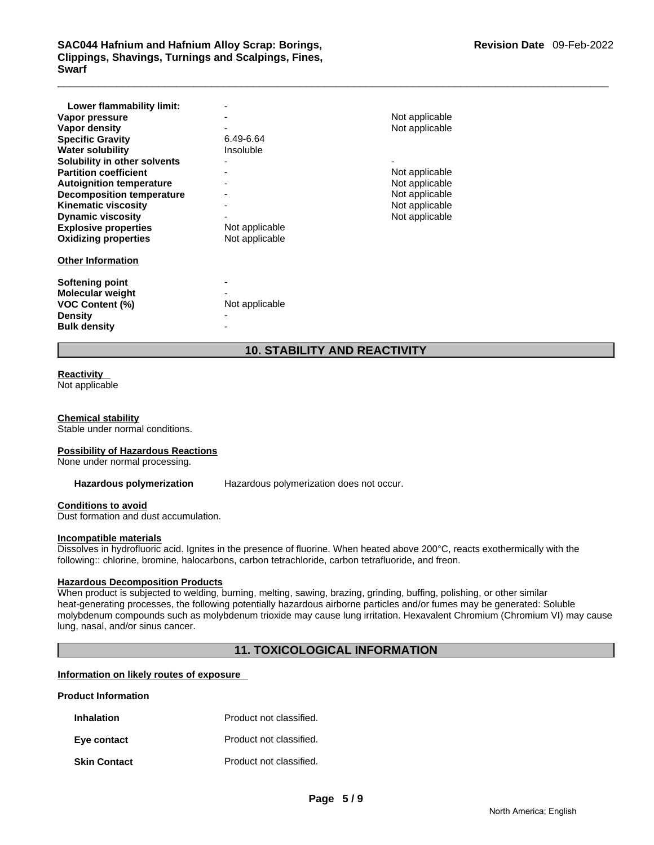# \_\_\_\_\_\_\_\_\_\_\_\_\_\_\_\_\_\_\_\_\_\_\_\_\_\_\_\_\_\_\_\_\_\_\_\_\_\_\_\_\_\_\_\_\_\_\_\_\_\_\_\_\_\_\_\_\_\_\_\_\_\_\_\_\_\_\_\_\_\_\_\_\_\_\_\_\_\_\_\_\_\_\_\_\_\_\_\_\_\_\_\_\_ **SAC044 Hafnium and Hafnium Alloy Scrap: Borings, Clippings, Shavings, Turnings and Scalpings, Fines, Swarf**

| Lower flammability limit:<br>Vapor pressure<br>Vapor density<br><b>Specific Gravity</b>                                                                  | 6.49-6.64                        | Not applicable<br>Not applicable                   |
|----------------------------------------------------------------------------------------------------------------------------------------------------------|----------------------------------|----------------------------------------------------|
| <b>Water solubility</b><br>Solubility in other solvents<br><b>Partition coefficient</b><br><b>Autoignition temperature</b>                               | Insoluble                        | Not applicable<br>Not applicable                   |
| <b>Decomposition temperature</b><br><b>Kinematic viscosity</b><br><b>Dynamic viscosity</b><br><b>Explosive properties</b><br><b>Oxidizing properties</b> | Not applicable<br>Not applicable | Not applicable<br>Not applicable<br>Not applicable |
| <b>Other Information</b><br><b>Softening point</b>                                                                                                       |                                  |                                                    |
| Molecular weight<br><b>VOC Content (%)</b><br><b>Density</b><br><b>Bulk density</b>                                                                      | Not applicable                   |                                                    |

### **10. STABILITY AND REACTIVITY**

### **Reactivity**

Not applicable

### **Chemical stability**

Stable under normal conditions.

### **Possibility of Hazardous Reactions**

None under normal processing.

**Hazardous polymerization** Hazardous polymerization does not occur.

### **Conditions to avoid**

Dust formation and dust accumulation.

### **Incompatible materials**

Dissolves in hydrofluoric acid. Ignites in the presence of fluorine. When heated above 200°C, reacts exothermically with the following:: chlorine, bromine, halocarbons, carbon tetrachloride, carbon tetrafluoride, and freon.

### **Hazardous Decomposition Products**

When product is subjected to welding, burning, melting, sawing, brazing, grinding, buffing, polishing, or other similar heat-generating processes, the following potentially hazardous airborne particles and/or fumes may be generated: Soluble molybdenum compounds such as molybdenum trioxide may cause lung irritation. Hexavalent Chromium (Chromium VI) may cause lung, nasal, and/or sinus cancer.

### **11. TOXICOLOGICAL INFORMATION**

### **Information on likely routes of exposure**

### **Product Information**

| <b>Inhalation</b>   | Product not classified. |
|---------------------|-------------------------|
| Eye contact         | Product not classified. |
| <b>Skin Contact</b> | Product not classified. |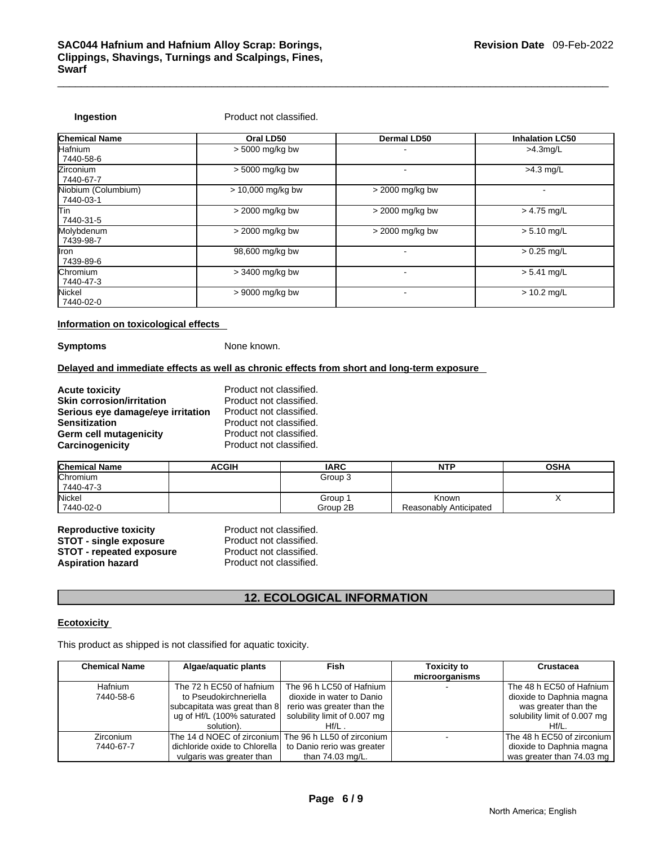**Ingestion Product not classified.** 

| <b>Chemical Name</b>             | Oral LD50           | <b>Dermal LD50</b> | <b>Inhalation LC50</b>   |
|----------------------------------|---------------------|--------------------|--------------------------|
| Hafnium<br>7440-58-6             | $> 5000$ mg/kg bw   |                    | $>4.3$ mg/L              |
| Zirconium<br>7440-67-7           | > 5000 mg/kg bw     |                    | $>4.3$ mg/L              |
| Niobium (Columbium)<br>7440-03-1 | $> 10,000$ mg/kg bw | > 2000 mg/kg bw    | $\overline{\phantom{0}}$ |
| lTin.<br>7440-31-5               | $>$ 2000 mg/kg bw   | $>$ 2000 mg/kg bw  | $> 4.75$ mg/L            |
| Molybdenum<br>7439-98-7          | $>$ 2000 mg/kg bw   | $>$ 2000 mg/kg bw  | $> 5.10$ mg/L            |
| llron.<br>7439-89-6              | 98,600 mg/kg bw     |                    | $> 0.25$ mg/L            |
| Chromium<br>7440-47-3            | $>$ 3400 mg/kg bw   |                    | $> 5.41$ mg/L            |
| Nickel<br>7440-02-0              | $> 9000$ mg/kg bw   |                    | $> 10.2$ mg/L            |

### **Information on toxicological effects**

**Symptoms** None known.

### **Delayed and immediate effects as well as chronic effects from short and long-term exposure**

| <b>Acute toxicity</b>             | Product not classified. |
|-----------------------------------|-------------------------|
| <b>Skin corrosion/irritation</b>  | Product not classified. |
| Serious eye damage/eye irritation | Product not classified. |
| <b>Sensitization</b>              | Product not classified. |
| Germ cell mutagenicity            | Product not classified. |
| Carcinogenicity                   | Product not classified. |

| <b>Chemical Name</b> | <b>ACGIH</b> | <b>IARC</b> | <b>NTP</b>             | <b>OSHA</b> |
|----------------------|--------------|-------------|------------------------|-------------|
| Chromium             |              | Group 3     |                        |             |
| 7440-47-3            |              |             |                        |             |
| Nickel               |              | Group 1     | Known                  |             |
| 7440-02-0            |              | Group 2B    | Reasonably Anticipated |             |

| <b>Reproductive toxicity</b>    | Product not classified. |
|---------------------------------|-------------------------|
| <b>STOT - single exposure</b>   | Product not classified. |
| <b>STOT - repeated exposure</b> | Product not classified. |
| <b>Aspiration hazard</b>        | Product not classified. |

# **12. ECOLOGICAL INFORMATION**

### **Ecotoxicity**

This product as shipped is not classified for aquatic toxicity.

| <b>Chemical Name</b> | Algae/aquatic plants                                  | Fish                         | <b>Toxicity to</b> | Crustacea                    |
|----------------------|-------------------------------------------------------|------------------------------|--------------------|------------------------------|
|                      |                                                       |                              | microorganisms     |                              |
| Hafnium              | The 72 h EC50 of hafnium                              | The 96 h LC50 of Hafnium     |                    | The 48 h EC50 of Hafnium     |
| 7440-58-6            | to Pseudokirchneriella                                | dioxide in water to Danio    |                    | dioxide to Daphnia magna     |
|                      | subcapitata was great than 8                          | rerio was greater than the   |                    | was greater than the         |
|                      | ug of Hf/L (100% saturated                            | solubility limit of 0.007 mg |                    | solubility limit of 0.007 mg |
|                      | solution).                                            | $Hf/L$ .                     |                    | Hf/L.                        |
| Zirconium            | The 14 d NOEC of zirconium The 96 h LL50 of zirconium |                              |                    | The 48 h EC50 of zirconium   |
| 7440-67-7            | dichloride oxide to Chlorella                         | to Danio rerio was greater   |                    | dioxide to Daphnia magna     |
|                      | vulgaris was greater than                             | than $74.03 \text{ mg/L}$ .  |                    | was greater than 74.03 mg    |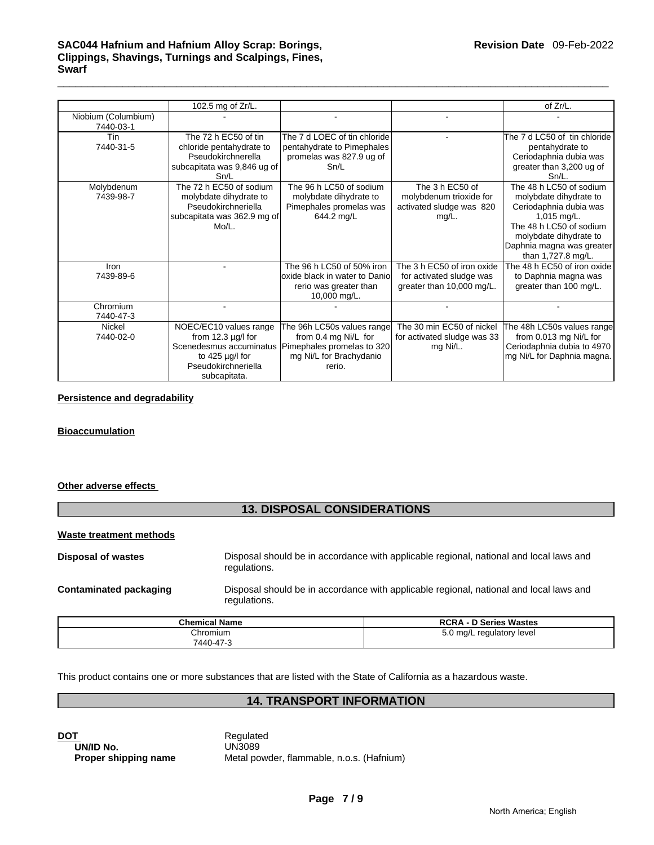|                                  | 102.5 mg of Zr/L.           |                               |                             | of Zr/L.                     |
|----------------------------------|-----------------------------|-------------------------------|-----------------------------|------------------------------|
| Niobium (Columbium)<br>7440-03-1 |                             |                               |                             |                              |
| Tin                              | The 72 h EC50 of tin        | The 7 d LOEC of tin chloride  |                             | The 7 d LC50 of tin chloride |
| 7440-31-5                        | chloride pentahydrate to    | pentahydrate to Pimephales    |                             | pentahydrate to              |
|                                  | Pseudokirchnerella          | promelas was 827.9 ug of      |                             | Ceriodaphnia dubia was       |
|                                  | subcapitata was 9,846 ug of | Sn/L                          |                             | greater than 3,200 ug of     |
|                                  | Sn/L                        |                               |                             | $Sn/L$ .                     |
| Molybdenum                       | The 72 h EC50 of sodium     | The 96 h LC50 of sodium       | The 3 h EC50 of             | The 48 h LC50 of sodium      |
| 7439-98-7                        | molybdate dihydrate to      | molybdate dihydrate to        | molybdenum trioxide for     | molybdate dihydrate to       |
|                                  | Pseudokirchneriella         | Pimephales promelas was       | activated sludge was 820    | Ceriodaphnia dubia was       |
|                                  | subcapitata was 362.9 mg of | 644.2 mg/L                    | mg/L.                       | $1,015$ mg/L.                |
|                                  | $Mo/L$ .                    |                               |                             | The 48 h LC50 of sodium      |
|                                  |                             |                               |                             | molybdate dihydrate to       |
|                                  |                             |                               |                             | Daphnia magna was greater    |
|                                  |                             |                               |                             | than 1,727.8 mg/L.           |
| Iron                             |                             | The 96 h LC50 of 50% iron     | The 3 h EC50 of iron oxide  | The 48 h EC50 of iron oxide  |
| 7439-89-6                        |                             | oxide black in water to Danio | for activated sludge was    | to Daphnia magna was         |
|                                  |                             | rerio was greater than        | greater than 10,000 mg/L.   | greater than 100 mg/L.       |
|                                  |                             | 10,000 mg/L.                  |                             |                              |
| Chromium                         |                             |                               |                             |                              |
| 7440-47-3                        |                             |                               |                             |                              |
| <b>Nickel</b>                    | NOEC/EC10 values range      | The 96h LC50s values range    | The 30 min EC50 of nickel   | The 48h LC50s values range   |
| 7440-02-0                        | from $12.3 \mu g/l$ for     | from 0.4 mg Ni/L for          | for activated sludge was 33 | from 0.013 mg Ni/L for       |
|                                  | Scenedesmus accuminatus     | Pimephales promelas to 320    | mg Ni/L.                    | Ceriodaphnia dubia to 4970   |
|                                  | to 425 $\mu$ g/l for        | mg Ni/L for Brachydanio       |                             | mg Ni/L for Daphnia magna.   |
|                                  | Pseudokirchneriella         | rerio.                        |                             |                              |
|                                  | subcapitata.                |                               |                             |                              |

### **Persistence and degradability**

### **Bioaccumulation**

### **Other adverse effects**

### **13. DISPOSAL CONSIDERATIONS**

### **Waste treatment methods**

| Disposal of wastes     | Disposal should be in accordance with applicable regional, national and local laws and<br>regulations. |
|------------------------|--------------------------------------------------------------------------------------------------------|
| Contaminated packaging | Disposal should be in accordance with applicable regional, national and local laws and<br>regulations. |

| <b>Chemical Name</b> | <b>D Series Wastes</b><br><b>RCRA - D</b> |
|----------------------|-------------------------------------------|
| Chromium             | $\gamma$ ma/L<br>regulatory level         |
| 7440-47-3            |                                           |

This product contains one or more substances that are listed with the State of California as a hazardous waste.

### **14. TRANSPORT INFORMATION**

| <b>DOT</b>           | Regulated     |
|----------------------|---------------|
| UN/ID No.            | <b>UN3089</b> |
| Proper shipping name | Metal pow     |

**UN/ID No.** UN3089 **Metal powder, flammable, n.o.s. (Hafnium)**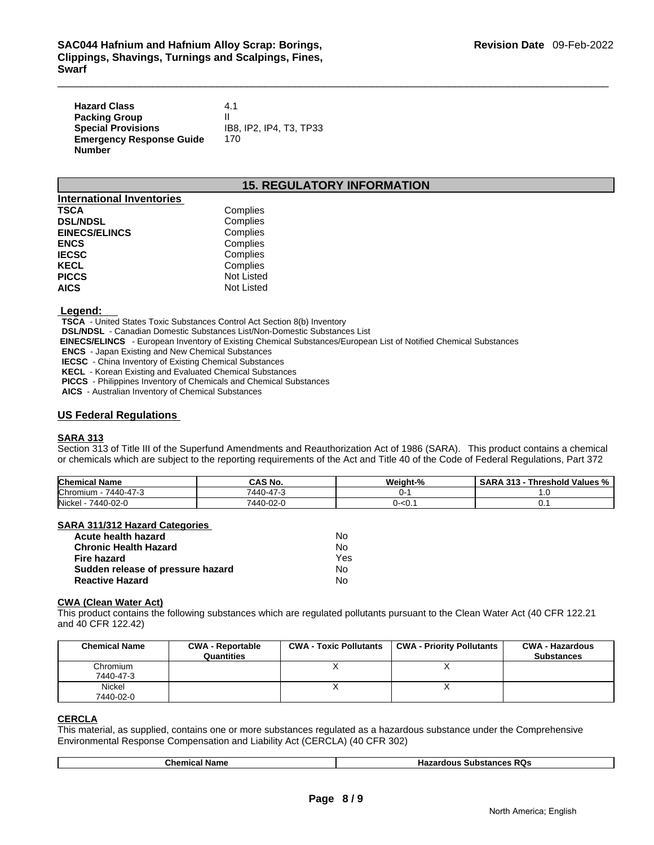| <b>Hazard Class</b>             | 4.1                     |
|---------------------------------|-------------------------|
| <b>Packing Group</b>            |                         |
| <b>Special Provisions</b>       | IB8, IP2, IP4, T3, TP33 |
| <b>Emergency Response Guide</b> | 170                     |
| Number                          |                         |

### **15. REGULATORY INFORMATION**

| <b>International Inventories</b> |                   |
|----------------------------------|-------------------|
| <b>TSCA</b>                      | Complies          |
| <b>DSL/NDSL</b>                  | Complies          |
| <b>EINECS/ELINCS</b>             | Complies          |
| <b>ENCS</b>                      | Complies          |
| <b>IECSC</b>                     | Complies          |
| <b>KECL</b>                      | Complies          |
| <b>PICCS</b>                     | <b>Not Listed</b> |
| <b>AICS</b>                      | Not Listed        |

 **Legend:** 

 **TSCA** - United States Toxic Substances Control Act Section 8(b) Inventory

 **DSL/NDSL** - Canadian Domestic Substances List/Non-Domestic Substances List

 **EINECS/ELINCS** - European Inventory of Existing Chemical Substances/European List of Notified Chemical Substances

 **ENCS** - Japan Existing and New Chemical Substances

 **IECSC** - China Inventory of Existing Chemical Substances

 **KECL** - Korean Existing and Evaluated Chemical Substances

 **PICCS** - Philippines Inventory of Chemicals and Chemical Substances

 **AICS** - Australian Inventory of Chemical Substances

### **US Federal Regulations**

### **SARA 313**

Section 313 of Title III of the Superfund Amendments and Reauthorization Act of 1986 (SARA). This product contains a chemical or chemicals which are subject to the reporting requirements of the Act and Title 40 of the Code of Federal Regulations, Part 372

| <b>Chemical Name</b>  | CAS No.   | Weight-%                         | Threshold Values %<br><br>SARA<br>د ۱ د |
|-----------------------|-----------|----------------------------------|-----------------------------------------|
| Chromium<br>7440-47-3 | 7440-47-  |                                  | $\cdot$                                 |
| Nickel<br>7440-02-0   | 7440-02-0 | ''- <u.< td=""><td>v.</td></u.<> | v.                                      |

### **SARA 311/312 Hazard Categories**

| Acute health hazard               | N٥  |
|-----------------------------------|-----|
| <b>Chronic Health Hazard</b>      | No  |
| Fire hazard                       | Yes |
| Sudden release of pressure hazard | No  |
| <b>Reactive Hazard</b>            | N٥  |

### **CWA (Clean Water Act)**

This product contains the following substances which are regulated pollutants pursuant to the Clean Water Act (40 CFR 122.21 and 40 CFR 122.42)

| <b>Chemical Name</b>  | <b>CWA - Reportable</b><br>Quantities | <b>CWA - Toxic Pollutants</b> | CWA - Priority Pollutants | <b>CWA - Hazardous</b><br><b>Substances</b> |
|-----------------------|---------------------------------------|-------------------------------|---------------------------|---------------------------------------------|
| Chromium<br>7440-47-3 |                                       |                               |                           |                                             |
| Nickel<br>7440-02-0   |                                       |                               |                           |                                             |

### **CERCLA**

This material, as supplied, contains one or more substances regulated as a hazardous substance under the Comprehensive Environmental Response Compensation and Liability Act (CERCLA) (40 CFR 302)

|  | vame<br>nc | . RQs<br>^^^<br>юшя<br><b>SUDSMITTES</b><br>10 |
|--|------------|------------------------------------------------|
|--|------------|------------------------------------------------|